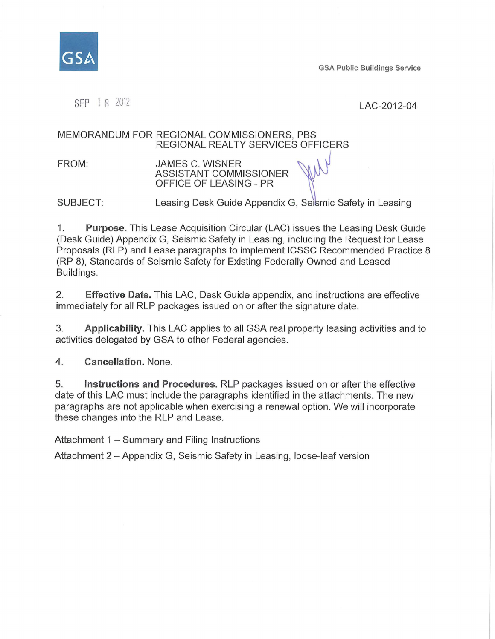

**GSA Public Buildings Service** 

SEP 1 8 2012<br>
LAC-2012-04

#### MEMORANDUM FOR REGIONAL COMMISSIONERS, PBS REGIONAL REALTY SERVICES OFFICERS

FROM: **JAMES C. WISNER** ASSISTANT COMMISSIONER OFFICE OF LEASING - PR

SUBJECT: Leasing Desk Guide Appendix G, Seismic Safety in Leasing

1. **Purpose.** This Lease Acquisition Circular (LAC) issues the Leasing Desk Guide (Desk Guide) Appendix G, Seismic Safety in Leasing, including the Request for Lease Proposals (RLP) and Lease paragraphs to implement ICSSC Recommended Practice 8 (RP 8), Standards of Seismic Safety for Existing Federally Owned and Leased Buildings.

2. **Effective Date.** This LAC, Desk Guide appendix, and instructions are effective immediately for all RLP packages issued on or after the signature date.

3. **Applicability.** This LAC applies to all GSA real property leasing activities and to activities delegated by GSA to other Federal agencies.

4. **Cancellation.** None.

5. **Instructions and Procedures.** RLP packages issued on or after the effective date of this LAC must include the paragraphs identified in the attachments. The new paragraphs are not applicable when exercising a renewal option. We will incorporate these changes into the RLP and Lease.

Attachment 1 - Summary and Filing Instructions

Attachment 2 - Appendix G, Seismic Safety in Leasing, loose-leaf version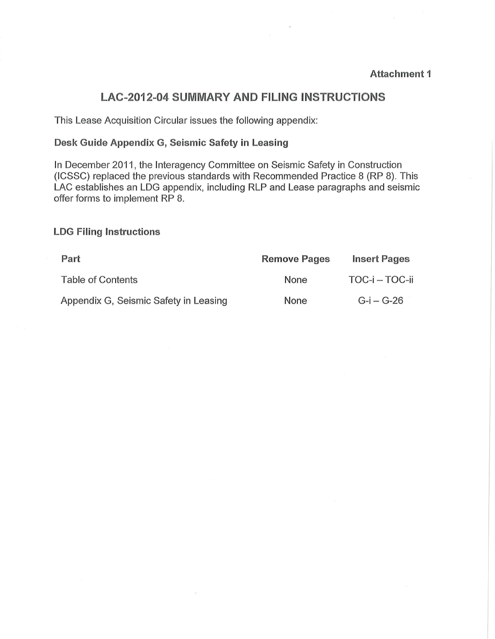## **LAC-2012-04 SUMMARY AND FILING INSTRUCTIONS**

This Lease Acquisition Circular issues the following appendix:

### **Desk Guide Appendix G, Seismic Safety in Leasing**

In December 2011, the Interagency Committee on Seismic Safety in Construction (ICSSC) replaced the previous standards with Recommended Practice 8 (RP 8). This LAC establishes an LDG appendix, including RLP and Lease paragraphs and seismic offer forms to implement RP 8.

#### **LOG Filing Instructions**

| Part                                  | <b>Remove Pages</b> | <b>Insert Pages</b> |
|---------------------------------------|---------------------|---------------------|
| Table of Contents                     | None                | TOC-i – TOC-ii      |
| Appendix G, Seismic Safety in Leasing | None                | $G-I - G-26$        |